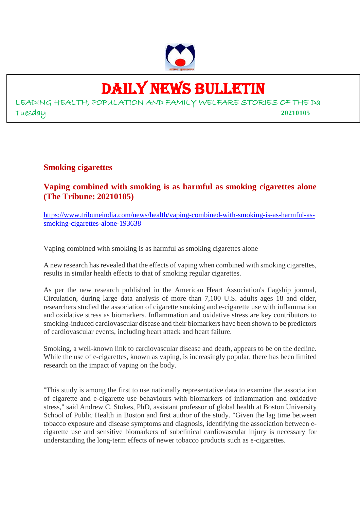

# DAILY NEWS BULLETIN

LEADING HEALTH, POPULATION AND FAMILY WELFARE STORIES OF THE Da Tuesday **20210105**

**Smoking cigarettes**

## **Vaping combined with smoking is as harmful as smoking cigarettes alone (The Tribune: 20210105)**

https://www.tribuneindia.com/news/health/vaping-combined-with-smoking-is-as-harmful-assmoking-cigarettes-alone-193638

Vaping combined with smoking is as harmful as smoking cigarettes alone

A new research has revealed that the effects of vaping when combined with smoking cigarettes, results in similar health effects to that of smoking regular cigarettes.

As per the new research published in the American Heart Association's flagship journal, Circulation, during large data analysis of more than 7,100 U.S. adults ages 18 and older, researchers studied the association of cigarette smoking and e-cigarette use with inflammation and oxidative stress as biomarkers. Inflammation and oxidative stress are key contributors to smoking-induced cardiovascular disease and their biomarkers have been shown to be predictors of cardiovascular events, including heart attack and heart failure.

Smoking, a well-known link to cardiovascular disease and death, appears to be on the decline. While the use of e-cigarettes, known as vaping, is increasingly popular, there has been limited research on the impact of vaping on the body.

"This study is among the first to use nationally representative data to examine the association of cigarette and e-cigarette use behaviours with biomarkers of inflammation and oxidative stress," said Andrew C. Stokes, PhD, assistant professor of global health at Boston University School of Public Health in Boston and first author of the study. "Given the lag time between tobacco exposure and disease symptoms and diagnosis, identifying the association between ecigarette use and sensitive biomarkers of subclinical cardiovascular injury is necessary for understanding the long-term effects of newer tobacco products such as e-cigarettes.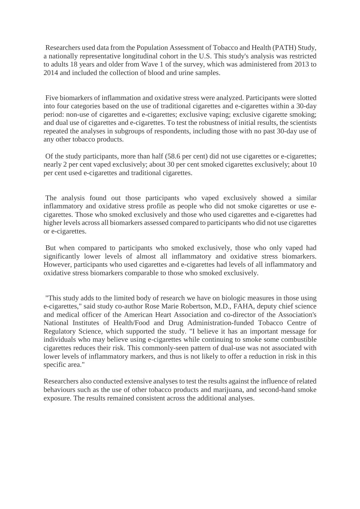Researchers used data from the Population Assessment of Tobacco and Health (PATH) Study, a nationally representative longitudinal cohort in the U.S. This study's analysis was restricted to adults 18 years and older from Wave 1 of the survey, which was administered from 2013 to 2014 and included the collection of blood and urine samples.

Five biomarkers of inflammation and oxidative stress were analyzed. Participants were slotted into four categories based on the use of traditional cigarettes and e-cigarettes within a 30-day period: non-use of cigarettes and e-cigarettes; exclusive vaping; exclusive cigarette smoking; and dual use of cigarettes and e-cigarettes. To test the robustness of initial results, the scientists repeated the analyses in subgroups of respondents, including those with no past 30-day use of any other tobacco products.

Of the study participants, more than half (58.6 per cent) did not use cigarettes or e-cigarettes; nearly 2 per cent vaped exclusively; about 30 per cent smoked cigarettes exclusively; about 10 per cent used e-cigarettes and traditional cigarettes.

The analysis found out those participants who vaped exclusively showed a similar inflammatory and oxidative stress profile as people who did not smoke cigarettes or use ecigarettes. Those who smoked exclusively and those who used cigarettes and e-cigarettes had higher levels across all biomarkers assessed compared to participants who did not use cigarettes or e-cigarettes.

But when compared to participants who smoked exclusively, those who only vaped had significantly lower levels of almost all inflammatory and oxidative stress biomarkers. However, participants who used cigarettes and e-cigarettes had levels of all inflammatory and oxidative stress biomarkers comparable to those who smoked exclusively.

"This study adds to the limited body of research we have on biologic measures in those using e-cigarettes," said study co-author Rose Marie Robertson, M.D., FAHA, deputy chief science and medical officer of the American Heart Association and co-director of the Association's National Institutes of Health/Food and Drug Administration-funded Tobacco Centre of Regulatory Science, which supported the study. "I believe it has an important message for individuals who may believe using e-cigarettes while continuing to smoke some combustible cigarettes reduces their risk. This commonly-seen pattern of dual-use was not associated with lower levels of inflammatory markers, and thus is not likely to offer a reduction in risk in this specific area."

Researchers also conducted extensive analyses to test the results against the influence of related behaviours such as the use of other tobacco products and marijuana, and second-hand smoke exposure. The results remained consistent across the additional analyses.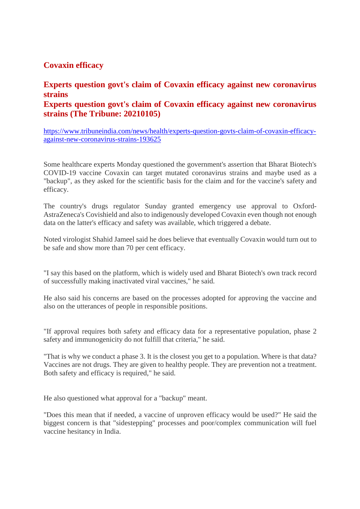#### **Covaxin efficacy**

#### **Experts question govt's claim of Covaxin efficacy against new coronavirus strains Experts question govt's claim of Covaxin efficacy against new coronavirus strains (The Tribune: 20210105)**

https://www.tribuneindia.com/news/health/experts-question-govts-claim-of-covaxin-efficacyagainst-new-coronavirus-strains-193625

Some healthcare experts Monday questioned the government's assertion that Bharat Biotech's COVID-19 vaccine Covaxin can target mutated coronavirus strains and maybe used as a "backup", as they asked for the scientific basis for the claim and for the vaccine's safety and efficacy.

The country's drugs regulator Sunday granted emergency use approval to Oxford-AstraZeneca's Covishield and also to indigenously developed Covaxin even though not enough data on the latter's efficacy and safety was available, which triggered a debate.

Noted virologist Shahid Jameel said he does believe that eventually Covaxin would turn out to be safe and show more than 70 per cent efficacy.

"I say this based on the platform, which is widely used and Bharat Biotech's own track record of successfully making inactivated viral vaccines," he said.

He also said his concerns are based on the processes adopted for approving the vaccine and also on the utterances of people in responsible positions.

"If approval requires both safety and efficacy data for a representative population, phase 2 safety and immunogenicity do not fulfill that criteria," he said.

"That is why we conduct a phase 3. It is the closest you get to a population. Where is that data? Vaccines are not drugs. They are given to healthy people. They are prevention not a treatment. Both safety and efficacy is required," he said.

He also questioned what approval for a "backup" meant.

"Does this mean that if needed, a vaccine of unproven efficacy would be used?" He said the biggest concern is that "sidestepping" processes and poor/complex communication will fuel vaccine hesitancy in India.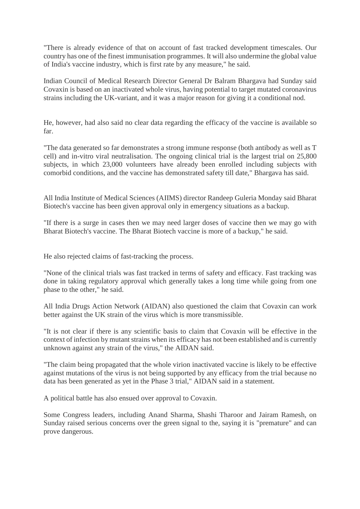"There is already evidence of that on account of fast tracked development timescales. Our country has one of the finest immunisation programmes. It will also undermine the global value of India's vaccine industry, which is first rate by any measure," he said.

Indian Council of Medical Research Director General Dr Balram Bhargava had Sunday said Covaxin is based on an inactivated whole virus, having potential to target mutated coronavirus strains including the UK-variant, and it was a major reason for giving it a conditional nod.

He, however, had also said no clear data regarding the efficacy of the vaccine is available so far.

"The data generated so far demonstrates a strong immune response (both antibody as well as T cell) and in-vitro viral neutralisation. The ongoing clinical trial is the largest trial on 25,800 subjects, in which 23,000 volunteers have already been enrolled including subjects with comorbid conditions, and the vaccine has demonstrated safety till date," Bhargava has said.

All India Institute of Medical Sciences (AIIMS) director Randeep Guleria Monday said Bharat Biotech's vaccine has been given approval only in emergency situations as a backup.

"If there is a surge in cases then we may need larger doses of vaccine then we may go with Bharat Biotech's vaccine. The Bharat Biotech vaccine is more of a backup," he said.

He also rejected claims of fast-tracking the process.

"None of the clinical trials was fast tracked in terms of safety and efficacy. Fast tracking was done in taking regulatory approval which generally takes a long time while going from one phase to the other," he said.

All India Drugs Action Network (AIDAN) also questioned the claim that Covaxin can work better against the UK strain of the virus which is more transmissible.

"It is not clear if there is any scientific basis to claim that Covaxin will be effective in the context of infection by mutant strains when its efficacy has not been established and is currently unknown against any strain of the virus," the AIDAN said.

"The claim being propagated that the whole virion inactivated vaccine is likely to be effective against mutations of the virus is not being supported by any efficacy from the trial because no data has been generated as yet in the Phase 3 trial," AIDAN said in a statement.

A political battle has also ensued over approval to Covaxin.

Some Congress leaders, including Anand Sharma, Shashi Tharoor and Jairam Ramesh, on Sunday raised serious concerns over the green signal to the, saying it is "premature" and can prove dangerous.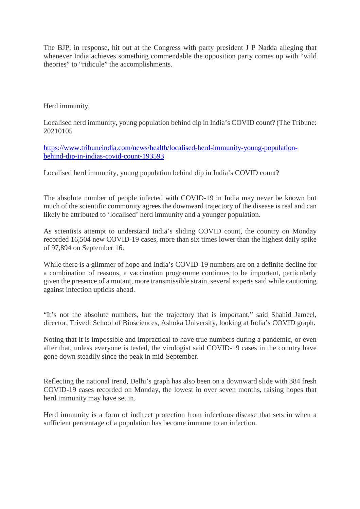The BJP, in response, hit out at the Congress with party president J P Nadda alleging that whenever India achieves something commendable the opposition party comes up with "wild theories" to "ridicule" the accomplishments.

Herd immunity,

Localised herd immunity, young population behind dip in India's COVID count? (The Tribune: 20210105

https://www.tribuneindia.com/news/health/localised-herd-immunity-young-populationbehind-dip-in-indias-covid-count-193593

Localised herd immunity, young population behind dip in India's COVID count?

The absolute number of people infected with COVID-19 in India may never be known but much of the scientific community agrees the downward trajectory of the disease is real and can likely be attributed to 'localised' herd immunity and a younger population.

As scientists attempt to understand India's sliding COVID count, the country on Monday recorded 16,504 new COVID-19 cases, more than six times lower than the highest daily spike of 97,894 on September 16.

While there is a glimmer of hope and India's COVID-19 numbers are on a definite decline for a combination of reasons, a vaccination programme continues to be important, particularly given the presence of a mutant, more transmissible strain, several experts said while cautioning against infection upticks ahead.

"It's not the absolute numbers, but the trajectory that is important," said Shahid Jameel, director, Trivedi School of Biosciences, Ashoka University, looking at India's COVID graph.

Noting that it is impossible and impractical to have true numbers during a pandemic, or even after that, unless everyone is tested, the virologist said COVID-19 cases in the country have gone down steadily since the peak in mid-September.

Reflecting the national trend, Delhi's graph has also been on a downward slide with 384 fresh COVID-19 cases recorded on Monday, the lowest in over seven months, raising hopes that herd immunity may have set in.

Herd immunity is a form of indirect protection from infectious disease that sets in when a sufficient percentage of a population has become immune to an infection.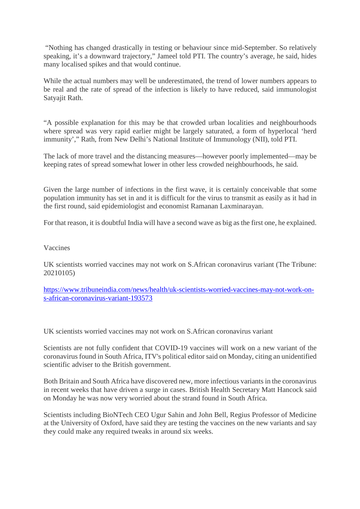"Nothing has changed drastically in testing or behaviour since mid-September. So relatively speaking, it's a downward trajectory," Jameel told PTI. The country's average, he said, hides many localised spikes and that would continue.

While the actual numbers may well be underestimated, the trend of lower numbers appears to be real and the rate of spread of the infection is likely to have reduced, said immunologist Satyajit Rath.

"A possible explanation for this may be that crowded urban localities and neighbourhoods where spread was very rapid earlier might be largely saturated, a form of hyperlocal 'herd immunity'," Rath, from New Delhi's National Institute of Immunology (NII), told PTI.

The lack of more travel and the distancing measures—however poorly implemented—may be keeping rates of spread somewhat lower in other less crowded neighbourhoods, he said.

Given the large number of infections in the first wave, it is certainly conceivable that some population immunity has set in and it is difficult for the virus to transmit as easily as it had in the first round, said epidemiologist and economist Ramanan Laxminarayan.

For that reason, it is doubtful India will have a second wave as big as the first one, he explained.

#### Vaccines

UK scientists worried vaccines may not work on S.African coronavirus variant (The Tribune: 20210105)

https://www.tribuneindia.com/news/health/uk-scientists-worried-vaccines-may-not-work-ons-african-coronavirus-variant-193573

UK scientists worried vaccines may not work on S.African coronavirus variant

Scientists are not fully confident that COVID-19 vaccines will work on a new variant of the coronavirus found in South Africa, ITV's political editor said on Monday, citing an unidentified scientific adviser to the British government.

Both Britain and South Africa have discovered new, more infectious variants in the coronavirus in recent weeks that have driven a surge in cases. British Health Secretary Matt Hancock said on Monday he was now very worried about the strand found in South Africa.

Scientists including BioNTech CEO Ugur Sahin and John Bell, Regius Professor of Medicine at the University of Oxford, have said they are testing the vaccines on the new variants and say they could make any required tweaks in around six weeks.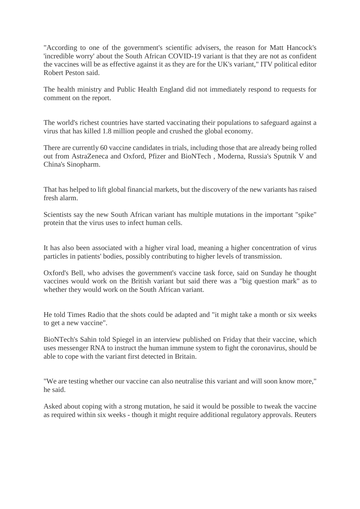"According to one of the government's scientific advisers, the reason for Matt Hancock's 'incredible worry' about the South African COVID-19 variant is that they are not as confident the vaccines will be as effective against it as they are for the UK's variant," ITV political editor Robert Peston said.

The health ministry and Public Health England did not immediately respond to requests for comment on the report.

The world's richest countries have started vaccinating their populations to safeguard against a virus that has killed 1.8 million people and crushed the global economy.

There are currently 60 vaccine candidates in trials, including those that are already being rolled out from AstraZeneca and Oxford, Pfizer and BioNTech , Moderna, Russia's Sputnik V and China's Sinopharm.

That has helped to lift global financial markets, but the discovery of the new variants has raised fresh alarm.

Scientists say the new South African variant has multiple mutations in the important "spike" protein that the virus uses to infect human cells.

It has also been associated with a higher viral load, meaning a higher concentration of virus particles in patients' bodies, possibly contributing to higher levels of transmission.

Oxford's Bell, who advises the government's vaccine task force, said on Sunday he thought vaccines would work on the British variant but said there was a "big question mark" as to whether they would work on the South African variant.

He told Times Radio that the shots could be adapted and "it might take a month or six weeks to get a new vaccine".

BioNTech's Sahin told Spiegel in an interview published on Friday that their vaccine, which uses messenger RNA to instruct the human immune system to fight the coronavirus, should be able to cope with the variant first detected in Britain.

"We are testing whether our vaccine can also neutralise this variant and will soon know more," he said.

Asked about coping with a strong mutation, he said it would be possible to tweak the vaccine as required within six weeks - though it might require additional regulatory approvals. Reuters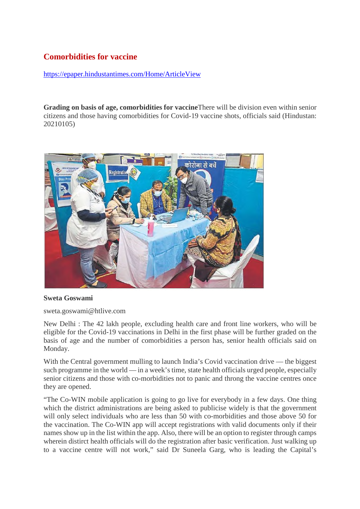### **Comorbidities for vaccine**

https://epaper.hindustantimes.com/Home/ArticleView

**Grading on basis of age, comorbidities for vaccine**There will be division even within senior citizens and those having comorbidities for Covid-19 vaccine shots, officials said (Hindustan: 20210105)



#### **Sweta Goswami**

sweta.goswami@htlive.com

New Delhi : The 42 lakh people, excluding health care and front line workers, who will be eligible for the Covid-19 vaccinations in Delhi in the first phase will be further graded on the basis of age and the number of comorbidities a person has, senior health officials said on Monday.

With the Central government mulling to launch India's Covid vaccination drive — the biggest such programme in the world — in a week's time, state health officials urged people, especially senior citizens and those with co-morbidities not to panic and throng the vaccine centres once they are opened.

"The Co-WIN mobile application is going to go live for everybody in a few days. One thing which the district administrations are being asked to publicise widely is that the government will only select individuals who are less than 50 with co-morbidities and those above 50 for the vaccination. The Co-WIN app will accept registrations with valid documents only if their names show up in the list within the app. Also, there will be an option to register through camps wherein distirct health officials will do the registration after basic verification. Just walking up to a vaccine centre will not work," said Dr Suneela Garg, who is leading the Capital's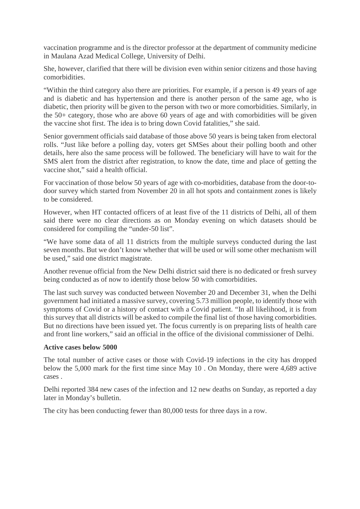vaccination programme and is the director professor at the department of community medicine in Maulana Azad Medical College, University of Delhi.

She, however, clarified that there will be division even within senior citizens and those having comorbidities.

"Within the third category also there are priorities. For example, if a person is 49 years of age and is diabetic and has hypertension and there is another person of the same age, who is diabetic, then priority will be given to the person with two or more comorbidities. Similarly, in the 50+ category, those who are above 60 years of age and with comorbidities will be given the vaccine shot first. The idea is to bring down Covid fatalities," she said.

Senior government officials said database of those above 50 years is being taken from electoral rolls. "Just like before a polling day, voters get SMSes about their polling booth and other details, here also the same process will be followed. The beneficiary will have to wait for the SMS alert from the district after registration, to know the date, time and place of getting the vaccine shot," said a health official.

For vaccination of those below 50 years of age with co-morbidities, database from the door-todoor survey which started from November 20 in all hot spots and containment zones is likely to be considered.

However, when HT contacted officers of at least five of the 11 districts of Delhi, all of them said there were no clear directions as on Monday evening on which datasets should be considered for compiling the "under-50 list".

"We have some data of all 11 districts from the multiple surveys conducted during the last seven months. But we don't know whether that will be used or will some other mechanism will be used," said one district magistrate.

Another revenue official from the New Delhi district said there is no dedicated or fresh survey being conducted as of now to identify those below 50 with comorbidities.

The last such survey was conducted between November 20 and December 31, when the Delhi government had initiated a massive survey, covering 5.73 million people, to identify those with symptoms of Covid or a history of contact with a Covid patient. "In all likelihood, it is from this survey that all districts will be asked to compile the final list of those having comorbidities. But no directions have been issued yet. The focus currently is on preparing lists of health care and front line workers," said an official in the office of the divisional commissioner of Delhi.

#### **Active cases below 5000**

The total number of active cases or those with Covid-19 infections in the city has dropped below the 5,000 mark for the first time since May 10 . On Monday, there were 4,689 active cases .

Delhi reported 384 new cases of the infection and 12 new deaths on Sunday, as reported a day later in Monday's bulletin.

The city has been conducting fewer than 80,000 tests for three days in a row.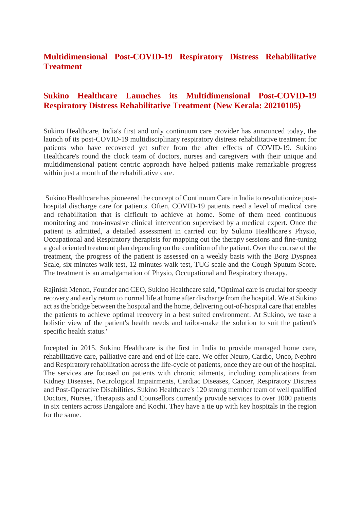#### **Multidimensional Post-COVID-19 Respiratory Distress Rehabilitative Treatment**

#### **Sukino Healthcare Launches its Multidimensional Post-COVID-19 Respiratory Distress Rehabilitative Treatment (New Kerala: 20210105)**

Sukino Healthcare, India's first and only continuum care provider has announced today, the launch of its post-COVID-19 multidisciplinary respiratory distress rehabilitative treatment for patients who have recovered yet suffer from the after effects of COVID-19. Sukino Healthcare's round the clock team of doctors, nurses and caregivers with their unique and multidimensional patient centric approach have helped patients make remarkable progress within just a month of the rehabilitative care.

Sukino Healthcare has pioneered the concept of Continuum Care in India to revolutionize posthospital discharge care for patients. Often, COVID-19 patients need a level of medical care and rehabilitation that is difficult to achieve at home. Some of them need continuous monitoring and non-invasive clinical intervention supervised by a medical expert. Once the patient is admitted, a detailed assessment in carried out by Sukino Healthcare's Physio, Occupational and Respiratory therapists for mapping out the therapy sessions and fine-tuning a goal oriented treatment plan depending on the condition of the patient. Over the course of the treatment, the progress of the patient is assessed on a weekly basis with the Borg Dyspnea Scale, six minutes walk test, 12 minutes walk test, TUG scale and the Cough Sputum Score. The treatment is an amalgamation of Physio, Occupational and Respiratory therapy.

Rajinish Menon, Founder and CEO, Sukino Healthcare said, "Optimal care is crucial for speedy recovery and early return to normal life at home after discharge from the hospital. We at Sukino act as the bridge between the hospital and the home, delivering out-of-hospital care that enables the patients to achieve optimal recovery in a best suited environment. At Sukino, we take a holistic view of the patient's health needs and tailor-make the solution to suit the patient's specific health status."

Incepted in 2015, Sukino Healthcare is the first in India to provide managed home care, rehabilitative care, palliative care and end of life care. We offer Neuro, Cardio, Onco, Nephro and Respiratory rehabilitation across the life-cycle of patients, once they are out of the hospital. The services are focused on patients with chronic ailments, including complications from Kidney Diseases, Neurological Impairments, Cardiac Diseases, Cancer, Respiratory Distress and Post-Operative Disabilities. Sukino Healthcare's 120 strong member team of well qualified Doctors, Nurses, Therapists and Counsellors currently provide services to over 1000 patients in six centers across Bangalore and Kochi. They have a tie up with key hospitals in the region for the same.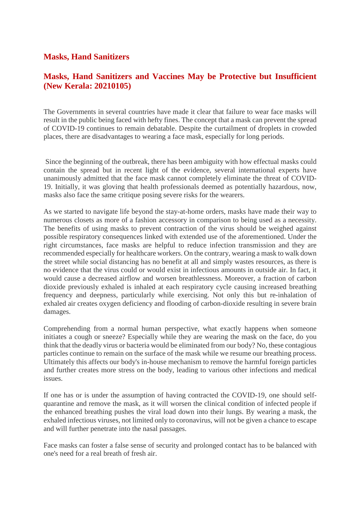#### **Masks, Hand Sanitizers**

#### **Masks, Hand Sanitizers and Vaccines May be Protective but Insufficient (New Kerala: 20210105)**

The Governments in several countries have made it clear that failure to wear face masks will result in the public being faced with hefty fines. The concept that a mask can prevent the spread of COVID-19 continues to remain debatable. Despite the curtailment of droplets in crowded places, there are disadvantages to wearing a face mask, especially for long periods.

Since the beginning of the outbreak, there has been ambiguity with how effectual masks could contain the spread but in recent light of the evidence, several international experts have unanimously admitted that the face mask cannot completely eliminate the threat of COVID-19. Initially, it was gloving that health professionals deemed as potentially hazardous, now, masks also face the same critique posing severe risks for the wearers.

As we started to navigate life beyond the stay-at-home orders, masks have made their way to numerous closets as more of a fashion accessory in comparison to being used as a necessity. The benefits of using masks to prevent contraction of the virus should be weighed against possible respiratory consequences linked with extended use of the aforementioned. Under the right circumstances, face masks are helpful to reduce infection transmission and they are recommended especially for healthcare workers. On the contrary, wearing a mask to walk down the street while social distancing has no benefit at all and simply wastes resources, as there is no evidence that the virus could or would exist in infectious amounts in outside air. In fact, it would cause a decreased airflow and worsen breathlessness. Moreover, a fraction of carbon dioxide previously exhaled is inhaled at each respiratory cycle causing increased breathing frequency and deepness, particularly while exercising. Not only this but re-inhalation of exhaled air creates oxygen deficiency and flooding of carbon-dioxide resulting in severe brain damages.

Comprehending from a normal human perspective, what exactly happens when someone initiates a cough or sneeze? Especially while they are wearing the mask on the face, do you think that the deadly virus or bacteria would be eliminated from our body? No, these contagious particles continue to remain on the surface of the mask while we resume our breathing process. Ultimately this affects our body's in-house mechanism to remove the harmful foreign particles and further creates more stress on the body, leading to various other infections and medical issues.

If one has or is under the assumption of having contracted the COVID-19, one should selfquarantine and remove the mask, as it will worsen the clinical condition of infected people if the enhanced breathing pushes the viral load down into their lungs. By wearing a mask, the exhaled infectious viruses, not limited only to coronavirus, will not be given a chance to escape and will further penetrate into the nasal passages.

Face masks can foster a false sense of security and prolonged contact has to be balanced with one's need for a real breath of fresh air.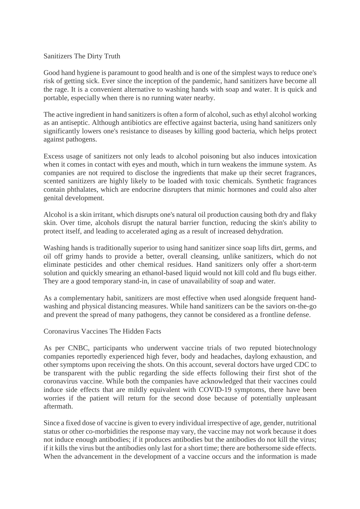#### Sanitizers The Dirty Truth

Good hand hygiene is paramount to good health and is one of the simplest ways to reduce one's risk of getting sick. Ever since the inception of the pandemic, hand sanitizers have become all the rage. It is a convenient alternative to washing hands with soap and water. It is quick and portable, especially when there is no running water nearby.

The active ingredient in hand sanitizers is often a form of alcohol, such as ethyl alcohol working as an antiseptic. Although antibiotics are effective against bacteria, using hand sanitizers only significantly lowers one's resistance to diseases by killing good bacteria, which helps protect against pathogens.

Excess usage of sanitizers not only leads to alcohol poisoning but also induces intoxication when it comes in contact with eyes and mouth, which in turn weakens the immune system. As companies are not required to disclose the ingredients that make up their secret fragrances, scented sanitizers are highly likely to be loaded with toxic chemicals. Synthetic fragrances contain phthalates, which are endocrine disrupters that mimic hormones and could also alter genital development.

Alcohol is a skin irritant, which disrupts one's natural oil production causing both dry and flaky skin. Over time, alcohols disrupt the natural barrier function, reducing the skin's ability to protect itself, and leading to accelerated aging as a result of increased dehydration.

Washing hands is traditionally superior to using hand sanitizer since soap lifts dirt, germs, and oil off grimy hands to provide a better, overall cleansing, unlike sanitizers, which do not eliminate pesticides and other chemical residues. Hand sanitizers only offer a short-term solution and quickly smearing an ethanol-based liquid would not kill cold and flu bugs either. They are a good temporary stand-in, in case of unavailability of soap and water.

As a complementary habit, sanitizers are most effective when used alongside frequent handwashing and physical distancing measures. While hand sanitizers can be the saviors on-the-go and prevent the spread of many pathogens, they cannot be considered as a frontline defense.

#### Coronavirus Vaccines The Hidden Facts

As per CNBC, participants who underwent vaccine trials of two reputed biotechnology companies reportedly experienced high fever, body and headaches, daylong exhaustion, and other symptoms upon receiving the shots. On this account, several doctors have urged CDC to be transparent with the public regarding the side effects following their first shot of the coronavirus vaccine. While both the companies have acknowledged that their vaccines could induce side effects that are mildly equivalent with COVID-19 symptoms, there have been worries if the patient will return for the second dose because of potentially unpleasant aftermath.

Since a fixed dose of vaccine is given to every individual irrespective of age, gender, nutritional status or other co-morbidities the response may vary, the vaccine may not work because it does not induce enough antibodies; if it produces antibodies but the antibodies do not kill the virus; if it kills the virus but the antibodies only last for a short time; there are bothersome side effects. When the advancement in the development of a vaccine occurs and the information is made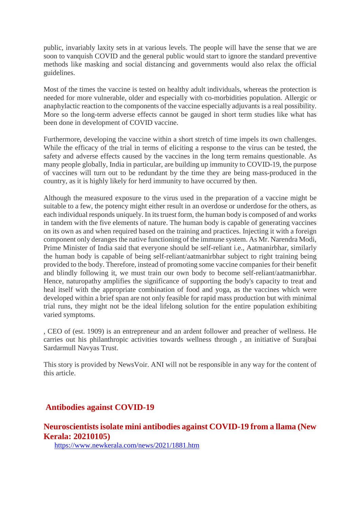public, invariably laxity sets in at various levels. The people will have the sense that we are soon to vanquish COVID and the general public would start to ignore the standard preventive methods like masking and social distancing and governments would also relax the official guidelines.

Most of the times the vaccine is tested on healthy adult individuals, whereas the protection is needed for more vulnerable, older and especially with co-morbidities population. Allergic or anaphylactic reaction to the components of the vaccine especially adjuvants is a real possibility. More so the long-term adverse effects cannot be gauged in short term studies like what has been done in development of COVID vaccine.

Furthermore, developing the vaccine within a short stretch of time impels its own challenges. While the efficacy of the trial in terms of eliciting a response to the virus can be tested, the safety and adverse effects caused by the vaccines in the long term remains questionable. As many people globally, India in particular, are building up immunity to COVID-19, the purpose of vaccines will turn out to be redundant by the time they are being mass-produced in the country, as it is highly likely for herd immunity to have occurred by then.

Although the measured exposure to the virus used in the preparation of a vaccine might be suitable to a few, the potency might either result in an overdose or underdose for the others, as each individual responds uniquely. In its truest form, the human body is composed of and works in tandem with the five elements of nature. The human body is capable of generating vaccines on its own as and when required based on the training and practices. Injecting it with a foreign component only deranges the native functioning of the immune system. As Mr. Narendra Modi, Prime Minister of India said that everyone should be self-reliant i.e., Aatmanirbhar, similarly the human body is capable of being self-reliant/aatmanirbhar subject to right training being provided to the body. Therefore, instead of promoting some vaccine companies for their benefit and blindly following it, we must train our own body to become self-reliant/aatmanirbhar. Hence, naturopathy amplifies the significance of supporting the body's capacity to treat and heal itself with the appropriate combination of food and yoga, as the vaccines which were developed within a brief span are not only feasible for rapid mass production but with minimal trial runs, they might not be the ideal lifelong solution for the entire population exhibiting varied symptoms.

, CEO of (est. 1909) is an entrepreneur and an ardent follower and preacher of wellness. He carries out his philanthropic activities towards wellness through , an initiative of Surajbai Sardarmull Navyas Trust.

This story is provided by NewsVoir. ANI will not be responsible in any way for the content of this article.

#### **Antibodies against COVID-19**

#### **Neuroscientists isolate mini antibodies against COVID-19 from a llama (New Kerala: 20210105)**

https://www.newkerala.com/news/2021/1881.htm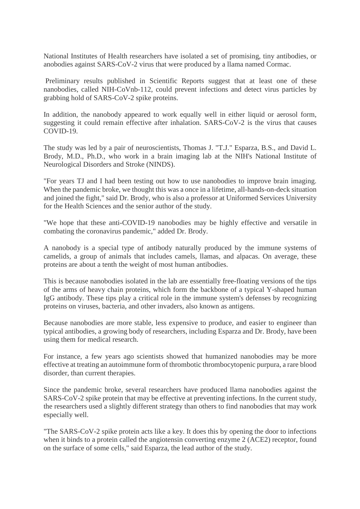National Institutes of Health researchers have isolated a set of promising, tiny antibodies, or anobodies against SARS-CoV-2 virus that were produced by a llama named Cormac.

Preliminary results published in Scientific Reports suggest that at least one of these nanobodies, called NIH-CoVnb-112, could prevent infections and detect virus particles by grabbing hold of SARS-CoV-2 spike proteins.

In addition, the nanobody appeared to work equally well in either liquid or aerosol form, suggesting it could remain effective after inhalation. SARS-CoV-2 is the virus that causes COVID-19.

The study was led by a pair of neuroscientists, Thomas J. "T.J." Esparza, B.S., and David L. Brody, M.D., Ph.D., who work in a brain imaging lab at the NIH's National Institute of Neurological Disorders and Stroke (NINDS).

"For years TJ and I had been testing out how to use nanobodies to improve brain imaging. When the pandemic broke, we thought this was a once in a lifetime, all-hands-on-deck situation and joined the fight," said Dr. Brody, who is also a professor at Uniformed Services University for the Health Sciences and the senior author of the study.

"We hope that these anti-COVID-19 nanobodies may be highly effective and versatile in combating the coronavirus pandemic," added Dr. Brody.

A nanobody is a special type of antibody naturally produced by the immune systems of camelids, a group of animals that includes camels, llamas, and alpacas. On average, these proteins are about a tenth the weight of most human antibodies.

This is because nanobodies isolated in the lab are essentially free-floating versions of the tips of the arms of heavy chain proteins, which form the backbone of a typical Y-shaped human IgG antibody. These tips play a critical role in the immune system's defenses by recognizing proteins on viruses, bacteria, and other invaders, also known as antigens.

Because nanobodies are more stable, less expensive to produce, and easier to engineer than typical antibodies, a growing body of researchers, including Esparza and Dr. Brody, have been using them for medical research.

For instance, a few years ago scientists showed that humanized nanobodies may be more effective at treating an autoimmune form of thrombotic thrombocytopenic purpura, a rare blood disorder, than current therapies.

Since the pandemic broke, several researchers have produced llama nanobodies against the SARS-CoV-2 spike protein that may be effective at preventing infections. In the current study, the researchers used a slightly different strategy than others to find nanobodies that may work especially well.

"The SARS-CoV-2 spike protein acts like a key. It does this by opening the door to infections when it binds to a protein called the angiotensin converting enzyme 2 (ACE2) receptor, found on the surface of some cells," said Esparza, the lead author of the study.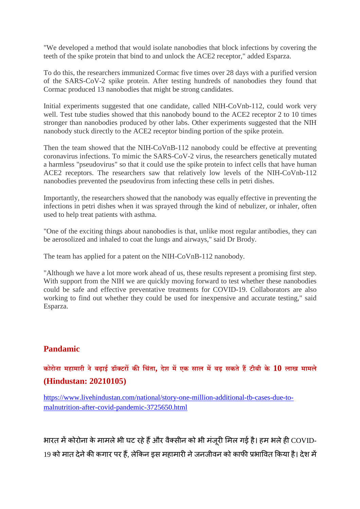"We developed a method that would isolate nanobodies that block infections by covering the teeth of the spike protein that bind to and unlock the ACE2 receptor," added Esparza.

To do this, the researchers immunized Cormac five times over 28 days with a purified version of the SARS-CoV-2 spike protein. After testing hundreds of nanobodies they found that Cormac produced 13 nanobodies that might be strong candidates.

Initial experiments suggested that one candidate, called NIH-CoVnb-112, could work very well. Test tube studies showed that this nanobody bound to the ACE2 receptor 2 to 10 times stronger than nanobodies produced by other labs. Other experiments suggested that the NIH nanobody stuck directly to the ACE2 receptor binding portion of the spike protein.

Then the team showed that the NIH-CoVnB-112 nanobody could be effective at preventing coronavirus infections. To mimic the SARS-CoV-2 virus, the researchers genetically mutated a harmless "pseudovirus" so that it could use the spike protein to infect cells that have human ACE2 receptors. The researchers saw that relatively low levels of the NIH-CoVnb-112 nanobodies prevented the pseudovirus from infecting these cells in petri dishes.

Importantly, the researchers showed that the nanobody was equally effective in preventing the infections in petri dishes when it was sprayed through the kind of nebulizer, or inhaler, often used to help treat patients with asthma.

"One of the exciting things about nanobodies is that, unlike most regular antibodies, they can be aerosolized and inhaled to coat the lungs and airways," said Dr Brody.

The team has applied for a patent on the NIH-CoVnB-112 nanobody.

"Although we have a lot more work ahead of us, these results represent a promising first step. With support from the NIH we are quickly moving forward to test whether these nanobodies could be safe and effective preventative treatments for COVID-19. Collaborators are also working to find out whether they could be used for inexpensive and accurate testing," said Esparza.

#### **Pandamic**

**कोरोना महामारी ने बढ़ाई डॉटरकिचंता, देश मएक साल मबढ़ सकते हटीबी के 10 लाख मामले (Hindustan: 20210105)**

https://www.livehindustan.com/national/story-one-million-additional-tb-cases-due-tomalnutrition-after-covid-pandemic-3725650.html

भारत में कोरोना के मामले भी घट रहे हैं और वैक्सीन को भी मंजूरी मिल गई है। हम भले ही COVID-19 को मात देने की कगार पर हैं. लेकिन इस महामारी ने जनजीवन को काफी प्रभावित किया है। देश में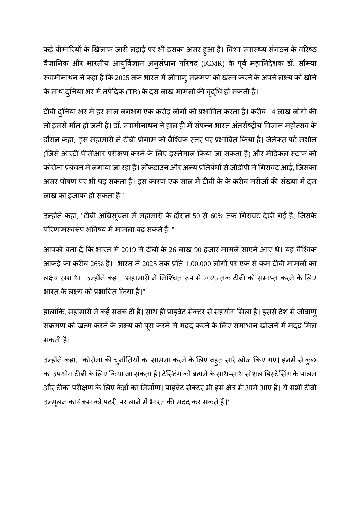कई बीमारियों के खिलाफ जारी लड़ाई पर भी इसका असर हुआ है। विश्व स्वास्थ्य संगठन के वरिष्ठ वैज्ञानिक और भारतीय आयुर्विज्ञान अनुसंधान परिषद (ICMR) के पूर्व महानिदेशक डॉ. सौम्या स्वामीनाथन ने कहा है कि 2025 तक भारत में जीवाणु संक्रमण को खत्म करने के अपने लक्ष्य को खोने के साथ दुनिया भर में तपेदिक (TB) के दस लाख मामलों की वृद्धि हो सकती है।

टीबी दुनिया भर में हर साल लगभग एक करोड़ लोगों को प्रभावित करता है। करीब 14 लाख लोगों की तो इससे मौत हो जती है। डॉ. स्वामीनाथन ने हाल ही में संपन्न भारत अंतर्राष्ट्रीय विज्ञान महोत्सव के दौरान कहा, 'इस महामारी ने टीबी प्रोगाम को वैश्विक स्तर पर प्रभावित किया है। जेनेक्स पर्ट मशीन (जिसे आरटी पीसीआर परीक्षण करने के लिए इस्तेमाल किया जा सकता है) और मेडिकल स्टाफ को कोरोना प्रबंधन में लगाया जा रहा है। लॉकडाउन और अन्य प्रतिबंधों से जीडीपी में गिरावट आई, जिसका असर पोषण पर भी पड़ सकता है। इस कारण एक साल में टीबी के के करीब मरीजों की संख्या में दस लाख का इजाफा हो सकता है।'

उन्होंने कहा, "टीबी अधिसूचना में महामारी के दौरान 50 से 60% तक गिरावट देखी गई है, जिसके परिणामस्वरूप भविष्य में मामला बढ़ सकते हैं।"

आपको बता दें कि भारत में 2019 में टीबी के 26 लाख 90 हजार मामले साएने आए थे। यह वैश्विक आंकड़े का करीब 26% है। भारत ने 2025 तक प्रति 1,00,000 लोगों पर एक से कम टीबी मामलों का लक्ष्य रखा था। उन्होंने कहा, "महामारी ने निश्चित रूप से 2025 तक टीबी को समाप्त करने के लिए भारत के लक्ष्य को प्रभावित किया है।"

हालांकि, महामारी ने कई सबक दी है। साथ ही प्राइवेट सेक्टर से सहयोग मिला है। इससे देश से जीवाणु संक्रमण को खत्म करने के लक्ष्य को पूरा करने में मदद करने के लिए समाधान खोजने में मदद मिल सकती है।

उन्होंने कहा, ''कोरोना की चुनौतियों का सामना करने के लिए बहुत सारे खोज किए गए। इनमें से कुछ का उपयोग टीबी के लिए किया जा सकता है। टेस्टिंग को बढ़ाने के साथ-साथ सोशल डिस्टेंसिंग के पालन और टीका परीक्षण के लिए केंद्रों का निर्माण। प्राइवेट सेक्टर भी इस क्षेत्र में आगे आए हैं। ये सभी टीबी उन्मूलन कार्यक्रम को पटरी पर लाने में भारत की मदद कर सकते हैं।"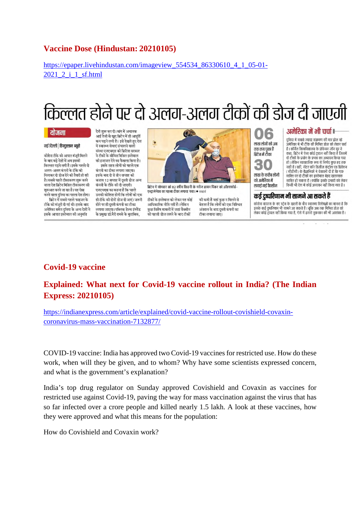#### **Vaccine Dose (Hindustan: 20210105)**

https://epaper.livehindustan.com/imageview\_554534\_86330610\_4\_1\_05-01- 2021 2 i 1 sf.html

# किल्लत होने पर दो अलग-अलग टीकों की डोज दी जाएगी

#### योजना

#### नई दिल्ली हिन्दुस्तान ब्यूरो

कोरोना टीके को आपात मंजूरी मिलने के बाद बड़े देशों में अब इसकी किल्लत पडने लगी है। इसके चलते दो अलग-अलग कंपनी के टीके को मिलाकर दो डोज देने की तैयारी हो रही है। सबसे पहले टीकाकरण शुरू करने वाला देश ब्रिटेन मिश्रित टीकाकरण की शुरुआत करने जा रहा है। वह ऐसा करने वाला दुनिया का पहला देश होगा।

ब्रिटेन में सबसे पहले फाइजर के टीके को मंजरी दी गई थी। इसके बाद अमेरिका समेत दुनिया के अन्य देशों ने इसके आपात इस्तेमाल की अनुमति

देनी शुरू कर दी। मांग में अचानक .<br>आई तेजी से खुद ब्रिटेन में ही आपूर्ति कम पड़ने लगी है। इसे देखते हुए देश .<br>में स्वास्थ्य सेवाएं संभालने वाली संस्था एनएचएस को ब्रिटिश सरकार ने टीकों के सीमित मिश्रित इस्तेमाल की इजाजत देने का फैसला किया है। इसके तहत लोगों को पहले एक कंपनी का टीका लगाया जाएगा। इसके बाद दो से तीन सप्ताह की

बजाय 12 सप्ताह में दूसरी डोज अन्य कंपनी के टीके की दी जाएगी। एनएचएस का कहना है कि पहले उनकी कोशिश होगी कि लोगों को एक ही टीके की दोनों डोज दी जाएं। जरूरी होने पर ही दूसरी कंपनी का टीका लगाया जाएगा। पब्लिक हेल्थ इंग्लैंड के प्रमुख डॉ.मैरी रामसे के मुताबिक,



ब्रिटेन में सोमवार को 82 वर्षीय किडनी के मरीज ब्रायन पिंकर को ऑक्सफोर्ड-एस्टाजेनेका का पहला टीका लगाया गया। • रायटर्स

की कमी है वहां कुछ न मिलने से

अंतराल के बाद दूसरी कंपनी का

टीका लगाया जाएं।

बेहतर है कि लोगों को एक निश्चित

टीकों के इस्तेमाल को लेकर यह कोई आधिकारिक नीति नहीं है। लेकिन कुछ विशेष मामलों में जहां वैक्सीन की पहली डोज लगने के बाद टीकों

06 लाख लोगों को अब तक लग चुका है ब्रिटेन में टीका लाख के करीब लोगों को अमेरिका में लगाई गई वैक्सीन

#### अमेरिका में भी चर्चा II

.<br>दुनिया में सबसे ज्यादा संक्रमण की मार झेल रहे .<br>अमेरिका में भी टीके की मिश्रित डोज को लेकर चर्चा है। कॉर्नेल विश्वविद्यालय के पोफेसर जॉन मर ने कहा, ब्रिटेन में ऐसा कोई ट्रायल नहीं किया है जिसमें दो टीकों के प्रयोग के प्रभाव का अध्ययन किया गया हो। लेकिन व्यावहारिक रूप से निर्णय कुछ हद तक सही है। वहीं, सेंटर फॉर डिजीज कंटोल एंड प्रिवेंशन ( सीडीसी ) के वैज्ञानिकों ने चेतावनी दी है कि एक व्यक्ति पर दो टीकों का इस्तेमाल बेहद खतरनाक साबित हो सकता है। क्योंकि इसके प्रभावों को लेकर किसी भी देश में कोई अध्ययन नहीं किया गया है।

#### कई दुष्परिणाम भी सामने आ सकते हैं

कोरोना वायरस के नए स्ट्रेन के खतरों के बीच स्वास्थ्य विशेषज्ञों का मानना है कि र राजे को बाद राजे था। साथ में आपको हैं। चूंकि अब तक मिश्रित डोज को<br>इसके कई दुष्परिणाम भी सामने आ सकते हैं। चूंकि अब तक मिश्रित डोज को<br>लेकर कोई ट्रायल नहीं किया गया है, ऐसे में इससे नुकसान की भी आशंका है।

### **Covid-19 vaccine**

# **Explained: What next for Covid-19 vaccine rollout in India? (The Indian Express: 20210105)**

https://indianexpress.com/article/explained/covid-vaccine-rollout-covishield-covaxincoronavirus-mass-vaccination-7132877/

COVID-19 vaccine: India has approved two Covid-19 vaccines for restricted use. How do these work, when will they be given, and to whom? Why have some scientists expressed concern, and what is the government's explanation?

India's top drug regulator on Sunday approved Covishield and Covaxin as vaccines for restricted use against Covid-19, paving the way for mass vaccination against the virus that has so far infected over a crore people and killed nearly 1.5 lakh. A look at these vaccines, how they were approved and what this means for the population:

How do Covishield and Covaxin work?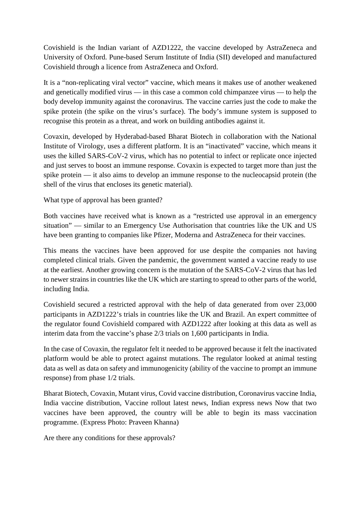Covishield is the Indian variant of AZD1222, the vaccine developed by AstraZeneca and University of Oxford. Pune-based Serum Institute of India (SII) developed and manufactured Covishield through a licence from AstraZeneca and Oxford.

It is a "non-replicating viral vector" vaccine, which means it makes use of another weakened and genetically modified virus — in this case a common cold chimpanzee virus — to help the body develop immunity against the coronavirus. The vaccine carries just the code to make the spike protein (the spike on the virus's surface). The body's immune system is supposed to recognise this protein as a threat, and work on building antibodies against it.

Covaxin, developed by Hyderabad-based Bharat Biotech in collaboration with the National Institute of Virology, uses a different platform. It is an "inactivated" vaccine, which means it uses the killed SARS-CoV-2 virus, which has no potential to infect or replicate once injected and just serves to boost an immune response. Covaxin is expected to target more than just the spike protein — it also aims to develop an immune response to the nucleocapsid protein (the shell of the virus that encloses its genetic material).

What type of approval has been granted?

Both vaccines have received what is known as a "restricted use approval in an emergency situation" — similar to an Emergency Use Authorisation that countries like the UK and US have been granting to companies like Pfizer, Moderna and AstraZeneca for their vaccines.

This means the vaccines have been approved for use despite the companies not having completed clinical trials. Given the pandemic, the government wanted a vaccine ready to use at the earliest. Another growing concern is the mutation of the SARS-CoV-2 virus that has led to newer strains in countries like the UK which are starting to spread to other parts of the world, including India.

Covishield secured a restricted approval with the help of data generated from over 23,000 participants in AZD1222's trials in countries like the UK and Brazil. An expert committee of the regulator found Covishield compared with AZD1222 after looking at this data as well as interim data from the vaccine's phase 2/3 trials on 1,600 participants in India.

In the case of Covaxin, the regulator felt it needed to be approved because it felt the inactivated platform would be able to protect against mutations. The regulator looked at animal testing data as well as data on safety and immunogenicity (ability of the vaccine to prompt an immune response) from phase 1/2 trials.

Bharat Biotech, Covaxin, Mutant virus, Covid vaccine distribution, Coronavirus vaccine India, India vaccine distribution, Vaccine rollout latest news, Indian express news Now that two vaccines have been approved, the country will be able to begin its mass vaccination programme. (Express Photo: Praveen Khanna)

Are there any conditions for these approvals?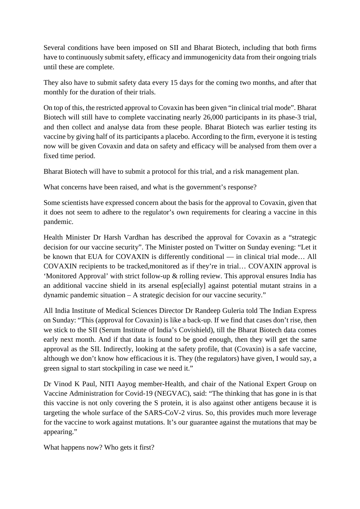Several conditions have been imposed on SII and Bharat Biotech, including that both firms have to continuously submit safety, efficacy and immunogenicity data from their ongoing trials until these are complete.

They also have to submit safety data every 15 days for the coming two months, and after that monthly for the duration of their trials.

On top of this, the restricted approval to Covaxin has been given "in clinical trial mode". Bharat Biotech will still have to complete vaccinating nearly 26,000 participants in its phase-3 trial, and then collect and analyse data from these people. Bharat Biotech was earlier testing its vaccine by giving half of its participants a placebo. According to the firm, everyone it is testing now will be given Covaxin and data on safety and efficacy will be analysed from them over a fixed time period.

Bharat Biotech will have to submit a protocol for this trial, and a risk management plan.

What concerns have been raised, and what is the government's response?

Some scientists have expressed concern about the basis for the approval to Covaxin, given that it does not seem to adhere to the regulator's own requirements for clearing a vaccine in this pandemic.

Health Minister Dr Harsh Vardhan has described the approval for Covaxin as a "strategic decision for our vaccine security". The Minister posted on Twitter on Sunday evening: "Let it be known that EUA for COVAXIN is differently conditional — in clinical trial mode… All COVAXIN recipients to be tracked,monitored as if they're in trial… COVAXIN approval is 'Monitored Approval' with strict follow-up & rolling review. This approval ensures India has an additional vaccine shield in its arsenal esp[ecially] against potential mutant strains in a dynamic pandemic situation – A strategic decision for our vaccine security."

All India Institute of Medical Sciences Director Dr Randeep Guleria told The Indian Express on Sunday: "This (approval for Covaxin) is like a back-up. If we find that cases don't rise, then we stick to the SII (Serum Institute of India's Covishield), till the Bharat Biotech data comes early next month. And if that data is found to be good enough, then they will get the same approval as the SII. Indirectly, looking at the safety profile, that (Covaxin) is a safe vaccine, although we don't know how efficacious it is. They (the regulators) have given, I would say, a green signal to start stockpiling in case we need it."

Dr Vinod K Paul, NITI Aayog member-Health, and chair of the National Expert Group on Vaccine Administration for Covid-19 (NEGVAC), said: "The thinking that has gone in is that this vaccine is not only covering the S protein, it is also against other antigens because it is targeting the whole surface of the SARS-CoV-2 virus. So, this provides much more leverage for the vaccine to work against mutations. It's our guarantee against the mutations that may be appearing."

What happens now? Who gets it first?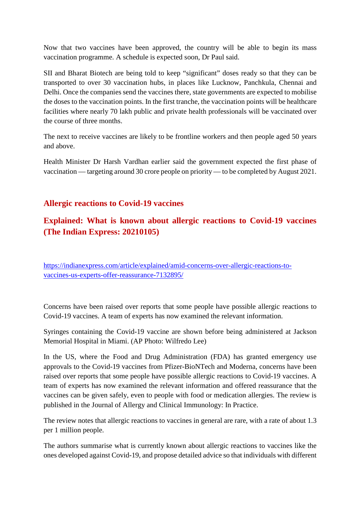Now that two vaccines have been approved, the country will be able to begin its mass vaccination programme. A schedule is expected soon, Dr Paul said.

SII and Bharat Biotech are being told to keep "significant" doses ready so that they can be transported to over 30 vaccination hubs, in places like Lucknow, Panchkula, Chennai and Delhi. Once the companies send the vaccines there, state governments are expected to mobilise the doses to the vaccination points. In the first tranche, the vaccination points will be healthcare facilities where nearly 70 lakh public and private health professionals will be vaccinated over the course of three months.

The next to receive vaccines are likely to be frontline workers and then people aged 50 years and above.

Health Minister Dr Harsh Vardhan earlier said the government expected the first phase of vaccination — targeting around 30 crore people on priority — to be completed by August 2021.

#### **Allergic reactions to Covid-19 vaccines**

# **Explained: What is known about allergic reactions to Covid-19 vaccines (The Indian Express: 20210105)**

https://indianexpress.com/article/explained/amid-concerns-over-allergic-reactions-tovaccines-us-experts-offer-reassurance-7132895/

Concerns have been raised over reports that some people have possible allergic reactions to Covid-19 vaccines. A team of experts has now examined the relevant information.

Syringes containing the Covid-19 vaccine are shown before being administered at Jackson Memorial Hospital in Miami. (AP Photo: Wilfredo Lee)

In the US, where the Food and Drug Administration (FDA) has granted emergency use approvals to the Covid-19 vaccines from Pfizer-BioNTech and Moderna, concerns have been raised over reports that some people have possible allergic reactions to Covid-19 vaccines. A team of experts has now examined the relevant information and offered reassurance that the vaccines can be given safely, even to people with food or medication allergies. The review is published in the Journal of Allergy and Clinical Immunology: In Practice.

The review notes that allergic reactions to vaccines in general are rare, with a rate of about 1.3 per 1 million people.

The authors summarise what is currently known about allergic reactions to vaccines like the ones developed against Covid-19, and propose detailed advice so that individuals with different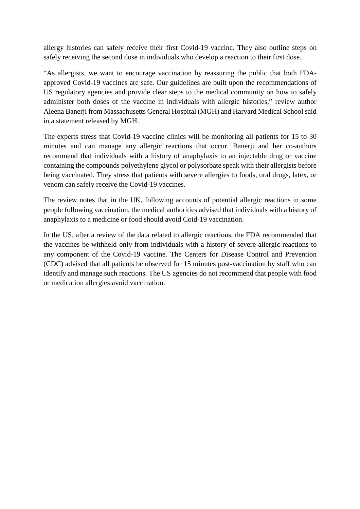allergy histories can safely receive their first Covid-19 vaccine. They also outline steps on safely receiving the second dose in individuals who develop a reaction to their first dose.

"As allergists, we want to encourage vaccination by reassuring the public that both FDAapproved Covid-19 vaccines are safe. Our guidelines are built upon the recommendations of US regulatory agencies and provide clear steps to the medical community on how to safely administer both doses of the vaccine in individuals with allergic histories," review author Aleena Banerji from Massachusetts General Hospital (MGH) and Harvard Medical School said in a statement released by MGH.

The experts stress that Covid-19 vaccine clinics will be monitoring all patients for 15 to 30 minutes and can manage any allergic reactions that occur. Banerji and her co-authors recommend that individuals with a history of anaphylaxis to an injectable drug or vaccine containing the compounds polyethylene glycol or polysorbate speak with their allergists before being vaccinated. They stress that patients with severe allergies to foods, oral drugs, latex, or venom can safely receive the Covid-19 vaccines.

The review notes that in the UK, following accounts of potential allergic reactions in some people following vaccination, the medical authorities advised that individuals with a history of anaphylaxis to a medicine or food should avoid Coid-19 vaccination.

In the US, after a review of the data related to allergic reactions, the FDA recommended that the vaccines be withheld only from individuals with a history of severe allergic reactions to any component of the Covid-19 vaccine. The Centers for Disease Control and Prevention (CDC) advised that all patients be observed for 15 minutes post-vaccination by staff who can identify and manage such reactions. The US agencies do not recommend that people with food or medication allergies avoid vaccination.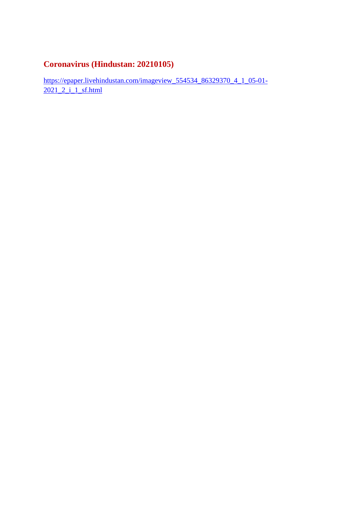# **Coronavirus (Hindustan: 20210105)**

https://epaper.livehindustan.com/imageview\_554534\_86329370\_4\_1\_05-01- 2021\_2\_i\_1\_sf.html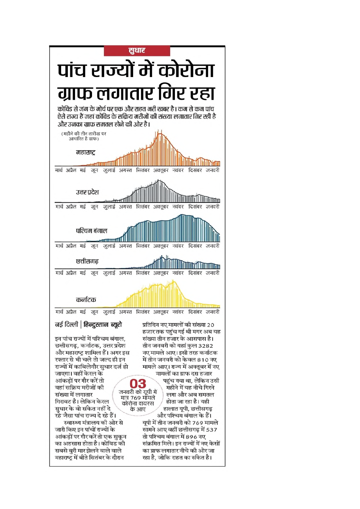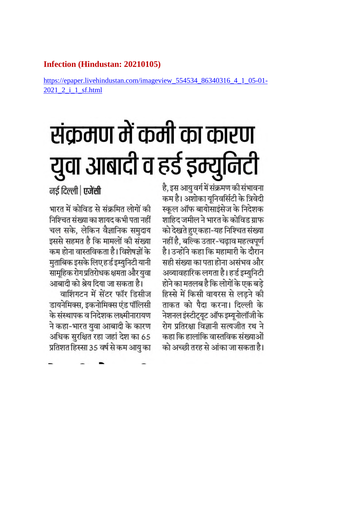#### **Infection (Hindustan: 20210105)**

https://epaper.livehindustan.com/imageview\_554534\_86340316\_4\_1\_05-01-2021\_2\_i\_1\_sf.html

# संक्रमण में कमी का कारण युवा आबादी व हर्ड इम्युनिटी

नर्ड दिल्ली | एजेंसी

भारत में कोविड से संक्रमित लोगों की निश्चित संख्या का शायद कभी पता नहीं चल सके, लेकिन वैज्ञानिक समुदाय इससे सहमत है कि मामलों की संख्या कम होना वास्तविकता है। विशेषज्ञों के मुताबिक इसके लिए हर्ड इम्युनिटी यानी सामूहिक रोग प्रतिरोधक क्षमता और युवा आबादी को श्रेय दिया जा सकता है।

वाशिंगटन में सेंटर फॉर डिसीज डायनेमिक्स, इकनोमिक्स एंड पॉलिसी के संस्थापक व निदेशक लक्ष्मीनारायण ने कहा-भारत युवा आबादी के कारण अधिक सुरक्षित रहा जहां देश का 65 प्रतिशत हिस्सा 35 वर्ष से कम आयु का है. इस आयु वर्ग में संक्रमण की संभावना कम है। अशोका यूनिवर्सिटी के त्रिवेदी स्कल ऑफ बायोसाइंसेज के निदेशक शाहिद जमील ने भारत के कोविड ग्राफ को देखते हुए कहा-यह निश्चित संख्या नहीं है, बल्कि उतार-चढ़ाव महत्वपूर्ण है। उन्होंने कहा कि महामारी के दौरान सही संख्या का पता होना असंभव और अव्यावहारिक लगता है। हर्ड इम्युनिटी होने का मतलब है कि लोगों के एक बड़े हिस्से में किसी वायरस से लडने की ताकत को पैदा करना। दिल्ली के नेशनल इंस्टीट्यूट ऑफ इम्यूनोलॉजी के रोग प्रतिरक्षा विज्ञानी सत्यजीत रथ ने कहा कि हालांकि वास्तविक संख्याओं को अच्छी तरह से आंका जा सकता है।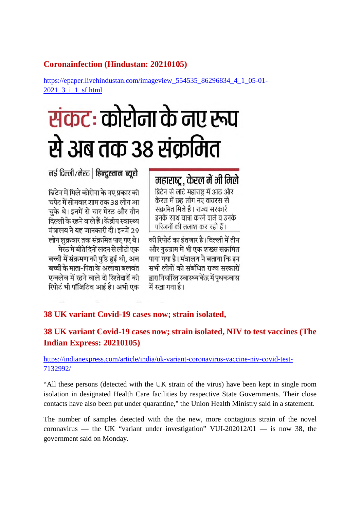### **Coronainfection (Hindustan: 20210105)**

https://epaper.livehindustan.com/imageview\_554535\_86296834\_4\_1\_05-01-2021\_3\_i\_1\_sf.html

# संकटः कोरोना के नए रूप से अब तक 38 संक्रमित

# महाराष्ट्र, केरल में भी मिले

ब्रिटेन से लौटे महाराष्ट में आठ और केरल में छह लोग नए वायरस से संक्रमित मिले हैं । राज्य सरकारें इनके साथ यात्रा करने वाले व उनके परिजनों की तलाश कर रही हैं।

नई दिल्ली/मेरठ | हिन्दुस्तान ब्यूरो

ब्रिटेन में मिले कोरोना के नए प्रकार की चपेट में सोमवार शाम तक 38 लोग आ चुके थे। इनमें से चार मेरठ और तीन दिल्ली के रहने वाले हैं। केंद्रीय स्वास्थ्य मंत्रालय ने यह जानकारी दी। इनमें 29 लोग शुक्रवार तक संक्रमित पाए गए थे। मेरठ में बीते दिनों लंदन से लौटी एक बच्ची में संक्रमण की पुष्टि हुई थी, अब बच्ची के माता-पिता के अलावा बलवंत एन्क्लेव में रहने वाले दो रिश्तेदारों की रिपोर्ट भी पॉजिटिव आई है। अभी एक

की रिपोर्ट का इंतजार है। दिल्ली में तीन और गुरुग्राम में भी एक शख्स संक्रमित पाया गया है। मंत्रालय ने बताया कि इन सभी लोगों को संबंधित राज्य सरकारों द्वारा निर्धारित स्वास्थ्य केंद्र में पृथकवास में रखा गया है।

#### **38 UK variant Covid-19 cases now; strain isolated,**

### **38 UK variant Covid-19 cases now; strain isolated, NIV to test vaccines (The Indian Express: 20210105)**

#### https://indianexpress.com/article/india/uk-variant-coronavirus-vaccine-niv-covid-test-7132992/

"All these persons (detected with the UK strain of the virus) have been kept in single room isolation in designated Health Care facilities by respective State Governments. Their close contacts have also been put under quarantine," the Union Health Ministry said in a statement.

The number of samples detected with the the new, more contagious strain of the novel coronavirus — the UK "variant under investigation" VUI-202012/01 — is now 38, the government said on Monday.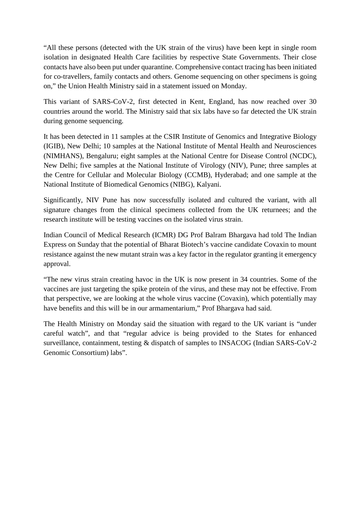"All these persons (detected with the UK strain of the virus) have been kept in single room isolation in designated Health Care facilities by respective State Governments. Their close contacts have also been put under quarantine. Comprehensive contact tracing has been initiated for co-travellers, family contacts and others. Genome sequencing on other specimens is going on," the Union Health Ministry said in a statement issued on Monday.

This variant of SARS-CoV-2, first detected in Kent, England, has now reached over 30 countries around the world. The Ministry said that six labs have so far detected the UK strain during genome sequencing.

It has been detected in 11 samples at the CSIR Institute of Genomics and Integrative Biology (IGIB), New Delhi; 10 samples at the National Institute of Mental Health and Neurosciences (NIMHANS), Bengaluru; eight samples at the National Centre for Disease Control (NCDC), New Delhi; five samples at the National Institute of Virology (NIV), Pune; three samples at the Centre for Cellular and Molecular Biology (CCMB), Hyderabad; and one sample at the National Institute of Biomedical Genomics (NIBG), Kalyani.

Significantly, NIV Pune has now successfully isolated and cultured the variant, with all signature changes from the clinical specimens collected from the UK returnees; and the research institute will be testing vaccines on the isolated virus strain.

Indian Council of Medical Research (ICMR) DG Prof Balram Bhargava had told The Indian Express on Sunday that the potential of Bharat Biotech's vaccine candidate Covaxin to mount resistance against the new mutant strain was a key factor in the regulator granting it emergency approval.

"The new virus strain creating havoc in the UK is now present in 34 countries. Some of the vaccines are just targeting the spike protein of the virus, and these may not be effective. From that perspective, we are looking at the whole virus vaccine (Covaxin), which potentially may have benefits and this will be in our armamentarium," Prof Bhargava had said.

The Health Ministry on Monday said the situation with regard to the UK variant is "under careful watch", and that "regular advice is being provided to the States for enhanced surveillance, containment, testing & dispatch of samples to INSACOG (Indian SARS-CoV-2 Genomic Consortium) labs".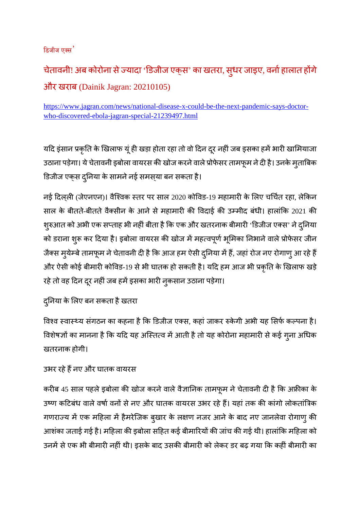डिजीज एक्स $^{'}$ 

चते ावनी! अब कोरोना सेयादा 'डजीज एक्स' का खतरा, सध ु र जाइए, वनाहालात हगे और खराब (Dainik Jagran: 20210105)

https://www.jagran.com/news/national-disease-x-could-be-the-next-pandemic-says-doctorwho-discovered-ebola-jagran-special-21239497.html

यदि इंसान प्रकृति के खिलाफ यूं ही खड़ा होता रहा तो वो दिन दूर नहीं जब इसका हमें भारी खामियाजा उठाना पड़ेगा। ये चेतावनी इबोला वायरस की खोज करने वाले प्रोफेसर तामफूम ने दी है। उनके मुताबिक डिजीज एक्स दुनिया के सामने नई समस्या बन सकता है।

नई दिल्ली (जेएनएन)। वैश्विक स्तर पर साल 2020 कोविड-19 महामारी के लिए चर्चित रहा, लेकिन साल के बीतते-बीतते वैक्सीन के आने से महामारी की विदाई की उम्मीद बंधी। हालांकि 2021 की शुरुआत को अभी एक सप्ताह भी नहीं बीता है कि एक और खतरनाक बीमारी 'डिजीज एक्स' ने दुनिया को डराना शुरू कर दिया है। इबोला वायरस की खोज में महत्वपूर्ण भूमिका निभाने वाले प्रोफेसर जीन जैक्स मुयेम्बे तामफूम ने चेतावनी दी है कि आज हम ऐसी दुनिया में हैं, जहां रोज नए रोगाणु आ रहे हैं और ऐसी कोई बीमारी कोविड-19 से भी घातक हो सकती है। यदि हम आज भी प्रकृति के खिलाफ खड़े रहे तो वह दिन दूर नहीं जब हमें इसका भारी नुकसान उठाना पड़ेगा।

# दुनया के लए बन सकता हैखतरा

विश्व स्वास्थ्य संगठन का कहना है कि डिजीज एक्स, कहां जाकर रुकेगी अभी यह सिर्फ कल्पना है। विशेषज्ञों का मानना है कि यदि यह अस्तित्व में आती है तो यह कोरोना महामारी से कई गुना अधिक खतरनाक होगी।

### उभर रहे हैं नए और घातक वायरस

करीब 45 साल पहले इबोला की खोज करने वाले वैज्ञानिक तामफूम ने चेतावनी दी है कि अफ्रीका के उष्ण कटिबंध वाले वर्षा वनों से नए और घातक वायरस उभर रहे हैं। यहां तक की कांगो लोकतांत्रिक गणराज्य में एक महिला में हैमरेजिक बुखार के लक्षण नजर आने के बाद नए जानलेवा रोगाणु की आशंका जताई गई है। महिला की इबोला सहित कई बीमारियों की जांच की गई थी। हालांकि महिला को उनमें से एक भी बीमारी नहीं थी। इसके बाद उसकी बीमारी को लेकर डर बढ़ गया कि कहीं बीमारी का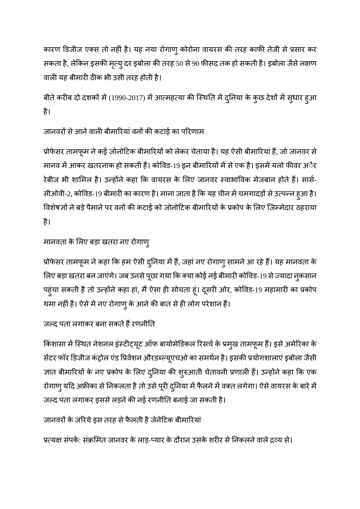कारण डिजीज एक्स तो नहीं है। यह नया रोगाणु कोरोना वायरस की तरह काफी तेजी से प्रसार कर सकता है, लेकिन इसकी मृत्यु दर इबोला की तरह 50 से 90 फीसद तक हो सकती है। इबोला जैसे लक्षण वाली यह बीमारी ठीक भी उसी तरह होती है।

बीते करीब दो दशकों में (1990-2017) में आत्महत्या की स्थिति में दुनिया के कुछ देशों में सुधार हुआ है।

जानवरों से आने वाली बीमारियां वनों की कटाई का परिणाम

प्रोफेसर तामफूम ने कई जोनोटिक बीमारियों को लेकर चेताया है। यह ऐसी बीमारियां हैं, जो जानवर से मानव में आकर खतरनाक हो सकती हैं। कोविड-19 इन बीमारियों में से एक है। इसमें यलो फीवर अैर रेबीज भी शामिल है। उन्होंने कहा कि वायरस के लिए जानवर स्वाभाविक मेजबान होते हैं। सार्स-सीओवी-2, कोविड-19 बीमारी का कारण है। माना जाता है कि यह चीन में चमगादड़ों से उत्पन्न हुआ है। विशेषज्ञों ने बड़े पैमाने पर वनों की कटाई को जोनोटिक बीमारियों के प्रकोप के लिए जिम्मेदार ठहराया है।

# मानवता के लए बड़ा खतरा नए रोगाणु

प्रोफेसर तामफूम ने कहा कि हम ऐसी दुनिया में हैं, जहां नए रोगाणु सामने आ रहे हैं। यह मानवता के लिए बड़ा खतरा बन जाएंगे। जब उनसे पूछा गया कि क्या कोई नई बीमारी कोविड-19 से ज्यादा नुकसान पहुंचा सकती है तो उन्होंने कहा हां, मैं ऐसा ही सोचता हूं। दूसरी ओर, कोविड-19 महामारी का प्रकोप थमा नहीं है। ऐसे में नए रोगाणु के आने की बात से ही लोग परेशान हैं।

### जल्द पता लगाकर बना सकते हैं रणनीति

किंशासा में स्थित नेशनल इंस्टीट्यूट ऑफ बायोमेडिकल रिसर्च के प्रमुख तामफूम हैं। इसे अमेरिका के सेंटर फॉर डिजीज कंट्रोल एंड प्रिवेंशन औरडब्ल्यूएचओ का समर्थन है। इसकी प्रयोगशालाएं इबोला जैसी ज्ञात बीमारियों के नए प्रकोप के लिए दुनिया की शुरुआती चेतावनी प्रणाली हैं। उन्होंने कहा कि एक रोगाणु यदि अफ्रीका से निकलता है तो उसे पूरी दुनिया में फैलने में वक्त लगेगा। ऐसे वायरस के बारे में जल्द पता लगाकर इससे लड़ने की नई रणनीति बनाई जा सकती है।

### जानवरों के जरिये इस तरह से फैलती है जेनेटिक बीमारियां

प्रत्यक्ष संपर्कः संक्रमित जानवर के लाड़-प्यार के दौरान उसके शरीर से निकलने वाले द्रव्य से।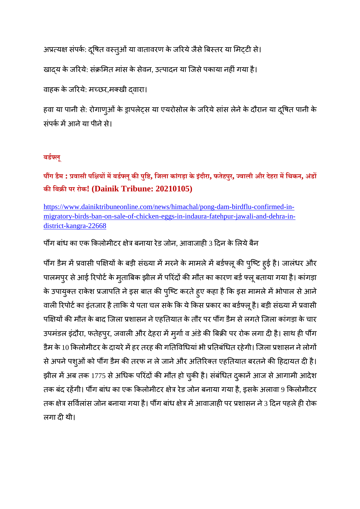```
अप्रत्यक्ष संपर्कः दूषित वस्तुओं या वातावरण के जरिये जैसे बिस्तर या मिट्टी से।
खादय के जरिये: संक्रमित मांस के सेवन, उत्पादन या जिसे पकाया नहीं गया है।
```

```
वाहक के जरये: मछर,मखी वारा।
```
हवा या पानी से: रोगाणुओं के ड्रापलेट्स या एयरोसोल के जरिये सांस लेने के दौरान या दुषित पानी के संपर्क में आने या पीने से।

### **बडलू**

पौंग डैम : प्रवासी पक्षियों में बर्डफ्लू की पुष्टि, जिला कांगड़ा के इंदौरा, फतेहपूर, ज्वाली और देहरा में चिकन, अंडों **किबपर रोक! (Dainik Tribune: 20210105)**

https://www.dainiktribuneonline.com/news/himachal/pong-dam-birdflu-confirmed-inmigratory-birds-ban-on-sale-of-chicken-eggs-in-indaura-fatehpur-jawali-and-dehra-indistrict-kangra-22668

पौंग बांध का एक किलोमीटर क्षेत्र बनाया रेड जोन, आवाजाही 3 दिन के लिये बैन

पौंग डैम में प्रवासी पक्षियों के बड़ी संख्या में मरने के मामले में बर्डफ्लू की पुष्टि हुई है। जालंधर और पालमपुर से आई रिपोर्ट के मुताबिक झील में परिंदों की मौत का कारण बर्ड फ्लू बताया गया है। कांगड़ा के उपायुक्त राकेश प्रजापति ने इस बात की पुष्टि करते हुए कहा है कि इस मामले में भोपाल से आने वाली रिपोर्ट का इंतजार है ताकि ये पता चल सके कि ये किस प्रकार का बर्डफ्लू है। बड़ी संख्या में प्रवासी पक्षियों की मौत के बाद जिला प्रशासन ने एहतियात के तौर पर पौंग डैम से लगते जिला कांगड़ा के चार उपमंडल इंदौरा, फतेहपुर, जवाली और देहरा में मुर्गा व अंडे की बिक्री पर रोक लगा दी है। साथ ही पौंग डैम के 10 किलोमीटर के दायरे में हर तरह की गतिविधियां भी प्रतिबंधित रहेगी। जिला प्रशासन ने लोगों से अपने पश्ओं को पौंग डैम की तरफ न ले जाने और अतिरिक्त एहतियात बरतने की हिदायत दी है। झील में अब तक 1775 से अधिक परिंदों की मौत हो चुकी है। संबंधित दुकानें आज से आगामी आदेश तक बंद रहेंगी। पौंग बांध का एक किलोमीटर क्षेत्र रेड जोन बनाया गया है, इसके अलावा 9 किलोमीटर तक क्षेत्र सर्विलांस जोन बनाया गया है। पौंग बांध क्षेत्र में आवाजाही पर प्रशासन ने 3 दिन पहले ही रोक लगा दी थी।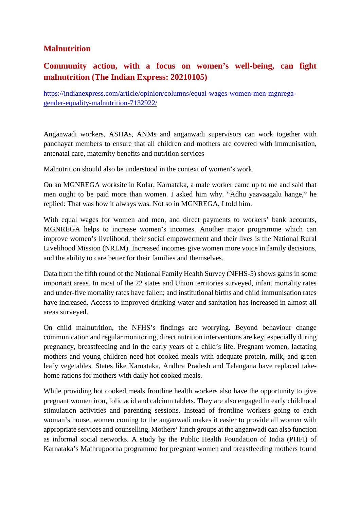# **Malnutrition**

# **Community action, with a focus on women's well-being, can fight malnutrition (The Indian Express: 20210105)**

https://indianexpress.com/article/opinion/columns/equal-wages-women-men-mgnregagender-equality-malnutrition-7132922/

Anganwadi workers, ASHAs, ANMs and anganwadi supervisors can work together with panchayat members to ensure that all children and mothers are covered with immunisation, antenatal care, maternity benefits and nutrition services

Malnutrition should also be understood in the context of women's work.

On an MGNREGA worksite in Kolar, Karnataka, a male worker came up to me and said that men ought to be paid more than women. I asked him why. "Adhu yaavaagalu hange," he replied: That was how it always was. Not so in MGNREGA, I told him.

With equal wages for women and men, and direct payments to workers' bank accounts, MGNREGA helps to increase women's incomes. Another major programme which can improve women's livelihood, their social empowerment and their lives is the National Rural Livelihood Mission (NRLM). Increased incomes give women more voice in family decisions, and the ability to care better for their families and themselves.

Data from the fifth round of the National Family Health Survey (NFHS-5) shows gains in some important areas. In most of the 22 states and Union territories surveyed, infant mortality rates and under-five mortality rates have fallen; and institutional births and child immunisation rates have increased. Access to improved drinking water and sanitation has increased in almost all areas surveyed.

On child malnutrition, the NFHS's findings are worrying. Beyond behaviour change communication and regular monitoring, direct nutrition interventions are key, especially during pregnancy, breastfeeding and in the early years of a child's life. Pregnant women, lactating mothers and young children need hot cooked meals with adequate protein, milk, and green leafy vegetables. States like Karnataka, Andhra Pradesh and Telangana have replaced takehome rations for mothers with daily hot cooked meals.

While providing hot cooked meals frontline health workers also have the opportunity to give pregnant women iron, folic acid and calcium tablets. They are also engaged in early childhood stimulation activities and parenting sessions. Instead of frontline workers going to each woman's house, women coming to the anganwadi makes it easier to provide all women with appropriate services and counselling. Mothers' lunch groups at the anganwadi can also function as informal social networks. A study by the Public Health Foundation of India (PHFI) of Karnataka's Mathrupoorna programme for pregnant women and breastfeeding mothers found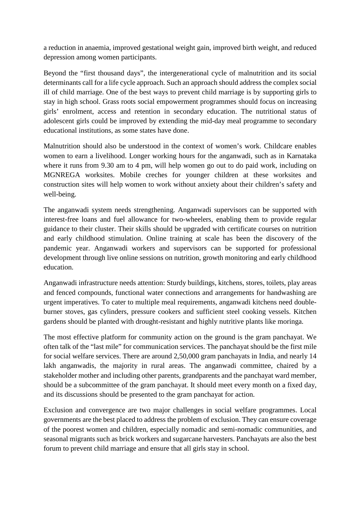a reduction in anaemia, improved gestational weight gain, improved birth weight, and reduced depression among women participants.

Beyond the "first thousand days", the intergenerational cycle of malnutrition and its social determinants call for a life cycle approach. Such an approach should address the complex social ill of child marriage. One of the best ways to prevent child marriage is by supporting girls to stay in high school. Grass roots social empowerment programmes should focus on increasing girls' enrolment, access and retention in secondary education. The nutritional status of adolescent girls could be improved by extending the mid-day meal programme to secondary educational institutions, as some states have done.

Malnutrition should also be understood in the context of women's work. Childcare enables women to earn a livelihood. Longer working hours for the anganwadi, such as in Karnataka where it runs from 9.30 am to 4 pm, will help women go out to do paid work, including on MGNREGA worksites. Mobile creches for younger children at these worksites and construction sites will help women to work without anxiety about their children's safety and well-being.

The anganwadi system needs strengthening. Anganwadi supervisors can be supported with interest-free loans and fuel allowance for two-wheelers, enabling them to provide regular guidance to their cluster. Their skills should be upgraded with certificate courses on nutrition and early childhood stimulation. Online training at scale has been the discovery of the pandemic year. Anganwadi workers and supervisors can be supported for professional development through live online sessions on nutrition, growth monitoring and early childhood education.

Anganwadi infrastructure needs attention: Sturdy buildings, kitchens, stores, toilets, play areas and fenced compounds, functional water connections and arrangements for handwashing are urgent imperatives. To cater to multiple meal requirements, anganwadi kitchens need doubleburner stoves, gas cylinders, pressure cookers and sufficient steel cooking vessels. Kitchen gardens should be planted with drought-resistant and highly nutritive plants like moringa.

The most effective platform for community action on the ground is the gram panchayat. We often talk of the "last mile" for communication services. The panchayat should be the first mile for social welfare services. There are around 2,50,000 gram panchayats in India, and nearly 14 lakh anganwadis, the majority in rural areas. The anganwadi committee, chaired by a stakeholder mother and including other parents, grandparents and the panchayat ward member, should be a subcommittee of the gram panchayat. It should meet every month on a fixed day, and its discussions should be presented to the gram panchayat for action.

Exclusion and convergence are two major challenges in social welfare programmes. Local governments are the best placed to address the problem of exclusion. They can ensure coverage of the poorest women and children, especially nomadic and semi-nomadic communities, and seasonal migrants such as brick workers and sugarcane harvesters. Panchayats are also the best forum to prevent child marriage and ensure that all girls stay in school.